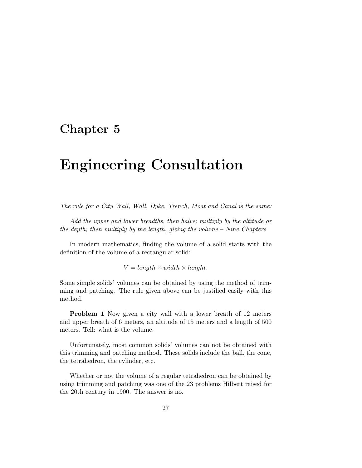## **Chapter 5**

## **Engineering Consultation**

The rule for a City Wall, Wall, Dyke, Trench, Moat and Canal is the same:

Add the upper and lower breadths, then halve; multiply by the altitude or the depth; then multiply by the length, giving the volume – Nine Chapters

In modern mathematics, finding the volume of a solid starts with the definition of the volume of a rectangular solid:

 $V = length \times width \times height.$ 

Some simple solids' volumes can be obtained by using the method of trimming and patching. The rule given above can be justified easily with this method.

**Problem 1** Now given a city wall with a lower breath of 12 meters and upper breath of 6 meters, an altitude of 15 meters and a length of 500 meters. Tell: what is the volume.

Unfortunately, most common solids' volumes can not be obtained with this trimming and patching method. These solids include the ball, the cone, the tetrahedron, the cylinder, etc.

Whether or not the volume of a regular tetrahedron can be obtained by using trimming and patching was one of the 23 problems Hilbert raised for the 20th century in 1900. The answer is no.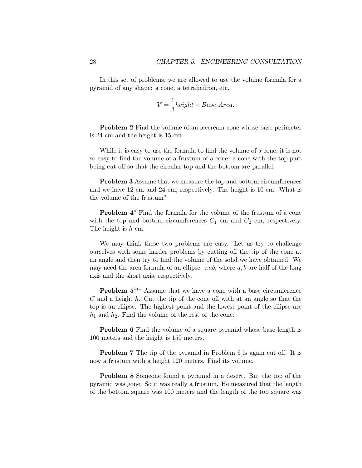In this set of problems, we are allowed to use the volume formula for a pyramid of any shape: a cone, a tetrahedron, etc.

$$
V = \frac{1}{3} height \times Base \ Area.
$$

**Problem 2** Find the volume of an icecream cone whose base perimeter is 24 cm and the height is 15 cm.

While it is easy to use the formula to find the volume of a cone, it is not so easy to find the volume of a frustum of a cone: a cone with the top part being cut off so that the circular top and the bottom are parallel.

**Problem 3** Assume that we measure the top and bottom circumferences and we have 12 cm and 24 cm, respectively. The height is 10 cm. What is the volume of the frustum?

**Problem 4**∗ Find the formula for the volume of the frustum of a cone with the top and bottom circumferences  $C_1$  cm and  $C_2$  cm, respectively. The height is h cm.

We may think these two problems are easy. Let us try to challenge ourselves with some harder problems by cutting off the tip of the cone at an angle and then try to find the volume of the solid we have obtained. We may need the area formula of an ellipse:  $\pi ab$ , where a, b are half of the long axis and the short axis, respectively.

**Problem 5**∗∗∗ Assume that we have a cone with a base circumference  $C$  and a height  $h$ . Cut the tip of the cone off with at an angle so that the top is an ellipse. The highest point and the lowest point of the ellipse are  $h_1$  and  $h_2$ . Find the volume of the rest of the cone.

**Problem 6** Find the volume of a square pyramid whose base length is 100 meters and the height is 150 meters.

**Problem 7** The tip of the pyramid in Problem 6 is again cut off. It is now a frustum with a height 120 meters. Find its volume.

**Problem 8** Someone found a pyramid in a desert. But the top of the pyramid was gone. So it was really a frustum. He measured that the length of the bottom square was 100 meters and the length of the top square was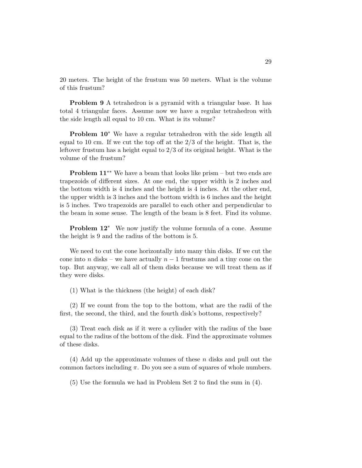20 meters. The height of the frustum was 50 meters. What is the volume of this frustum?

**Problem 9** A tetrahedron is a pyramid with a triangular base. It has total 4 triangular faces. Assume now we have a regular tetrahedron with the side length all equal to 10 cm. What is its volume?

**Problem 10**∗ We have a regular tetrahedron with the side length all equal to 10 cm. If we cut the top off at the  $2/3$  of the height. That is, the leftover frustum has a height equal to 2/3 of its original height. What is the volume of the frustum?

**Problem 11**∗∗ We have a beam that looks like prism – but two ends are trapezoids of different sizes. At one end, the upper width is 2 inches and the bottom width is 4 inches and the height is 4 inches. At the other end, the upper width is 3 inches and the bottom width is 6 inches and the height is 5 inches. Two trapezoids are parallel to each other and perpendicular to the beam in some sense. The length of the beam is 8 feet. Find its volume.

**Problem 12**∗ We now justify the volume formula of a cone. Assume the height is 9 and the radius of the bottom is 5.

We need to cut the cone horizontally into many thin disks. If we cut the cone into n disks – we have actually  $n-1$  frustums and a tiny cone on the top. But anyway, we call all of them disks because we will treat them as if they were disks.

(1) What is the thickness (the height) of each disk?

(2) If we count from the top to the bottom, what are the radii of the first, the second, the third, and the fourth disk's bottoms, respectively?

(3) Treat each disk as if it were a cylinder with the radius of the base equal to the radius of the bottom of the disk. Find the approximate volumes of these disks.

(4) Add up the approximate volumes of these n disks and pull out the common factors including  $\pi$ . Do you see a sum of squares of whole numbers.

(5) Use the formula we had in Problem Set 2 to find the sum in (4).